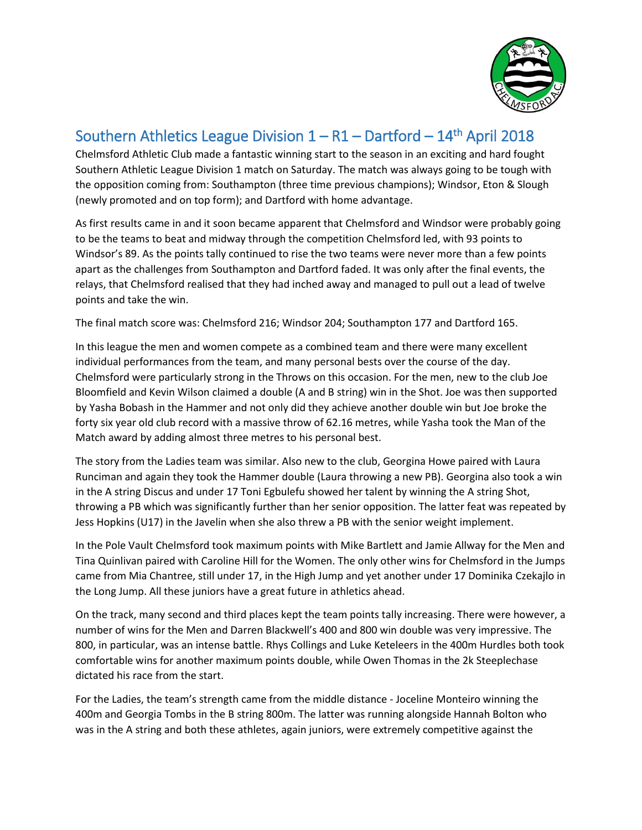

## Southern Athletics League Division  $1 - R1 -$  Dartford - 14<sup>th</sup> April 2018

Chelmsford Athletic Club made a fantastic winning start to the season in an exciting and hard fought Southern Athletic League Division 1 match on Saturday. The match was always going to be tough with the opposition coming from: Southampton (three time previous champions); Windsor, Eton & Slough (newly promoted and on top form); and Dartford with home advantage.

As first results came in and it soon became apparent that Chelmsford and Windsor were probably going to be the teams to beat and midway through the competition Chelmsford led, with 93 points to Windsor's 89. As the points tally continued to rise the two teams were never more than a few points apart as the challenges from Southampton and Dartford faded. It was only after the final events, the relays, that Chelmsford realised that they had inched away and managed to pull out a lead of twelve points and take the win.

The final match score was: Chelmsford 216; Windsor 204; Southampton 177 and Dartford 165.

In this league the men and women compete as a combined team and there were many excellent individual performances from the team, and many personal bests over the course of the day. Chelmsford were particularly strong in the Throws on this occasion. For the men, new to the club Joe Bloomfield and Kevin Wilson claimed a double (A and B string) win in the Shot. Joe was then supported by Yasha Bobash in the Hammer and not only did they achieve another double win but Joe broke the forty six year old club record with a massive throw of 62.16 metres, while Yasha took the Man of the Match award by adding almost three metres to his personal best.

The story from the Ladies team was similar. Also new to the club, Georgina Howe paired with Laura Runciman and again they took the Hammer double (Laura throwing a new PB). Georgina also took a win in the A string Discus and under 17 Toni Egbulefu showed her talent by winning the A string Shot, throwing a PB which was significantly further than her senior opposition. The latter feat was repeated by Jess Hopkins (U17) in the Javelin when she also threw a PB with the senior weight implement.

In the Pole Vault Chelmsford took maximum points with Mike Bartlett and Jamie Allway for the Men and Tina Quinlivan paired with Caroline Hill for the Women. The only other wins for Chelmsford in the Jumps came from Mia Chantree, still under 17, in the High Jump and yet another under 17 Dominika Czekajlo in the Long Jump. All these juniors have a great future in athletics ahead.

On the track, many second and third places kept the team points tally increasing. There were however, a number of wins for the Men and Darren Blackwell's 400 and 800 win double was very impressive. The 800, in particular, was an intense battle. Rhys Collings and Luke Keteleers in the 400m Hurdles both took comfortable wins for another maximum points double, while Owen Thomas in the 2k Steeplechase dictated his race from the start.

For the Ladies, the team's strength came from the middle distance - Joceline Monteiro winning the 400m and Georgia Tombs in the B string 800m. The latter was running alongside Hannah Bolton who was in the A string and both these athletes, again juniors, were extremely competitive against the